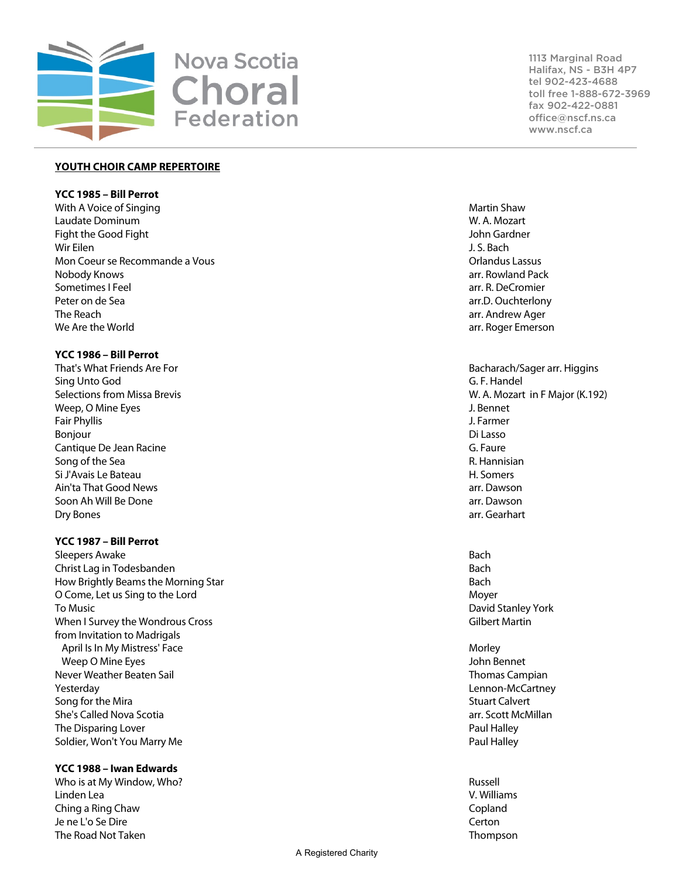

#### **YOUTH CHOIR CAMP REPERTOIRE**

# **YCC 1985 – Bill Perrot**

With A Voice of Singing Martin Shaw Laudate Dominum W. A. Mozart Fight the Good Fight John Gardner Wir Eilen J. S. Bach Mon Coeur se Recommande a Vous **Orlandus Lassus** Orlandus Lassus Nobody Knows arr. Rowland Pack Sometimes I Feel arr. R. DeCromier Peter on de Sea arr.D. Ouchterlony The Reach arrival arrival arrival arrival arrival arrival arrival arrival arrival arrival arrival arrival arrival arrival arrival arrival arrival arrival arrival arrival arrival arrival arrival arrival arrival arrival arri We Are the World arr. Roger Emerson

#### **YCC 1986 – Bill Perrot**

That's What Friends Are For Bacharach/Sager arr. Higgins and Bacharach/Sager arr. Higgins Sing Unto God G. F. Handel Weep, O Mine Eyes **Structure Exercise Control** Control of the U.S. Bennet Control Control Control Control Control Control Control Control Control Control Control Control Control Control Control Control Control Control Cont Fair Phyllis J. Farmer Bonjour Di Lasso (1999), and the set of the set of the set of the set of the set of the set of the set of the s Cantique De Jean Racine G. Faure G. Faure G. Faure G. Faure G. Faure G. Faure G. Faure G. Faure G. Faure G. Faure Song of the Sea R. Hannisian and the Sea R. Hannisian and the Sea R. Hannisian and the Sea R. Hannisian and the Sea R. Hannisian and the Sea R. Hannisian and the Sea R. Hannisian and the Sea R. Hannisian and the Sea R. Han Si J'Avais Le Bateau et al. et al. et al. et al. et al. et al. et al. et al. et al. et al. et al. et al. et al. et al. et al. et al. et al. et al. et al. et al. et al. et al. et al. et al. et al. et al. et al. et al. et al Ain'ta That Good News arr. Dawson Soon Ah Will Be Done arr arr and the state of the state of the state of the state of the state of the state of the state of the state of the state of the state of the state of the state of the state of the state of the sta Dry Bones arr. Gearhart

# **YCC 1987 – Bill Perrot**

Sleepers Awake Bach and the Bach and the Bach and the Bach and the Bach and the Bach and the Bach and the Bach Christ Lag in Todesbanden Bach How Brightly Beams the Morning Star Bach O Come, Let us Sing to the Lord Moyer To Music David Stanley York When I Survey the Wondrous Cross **Gilbert Martin** Communication Control of Gilbert Martin from Invitation to Madrigals April Is In My Mistress' Face **More and Accord Contract Contract Contract Contract Contract Contract Contract Contract Contract Contract Contract Contract Contract Contract Contract Contract Contract Contract Contract Cont**  Weep O Mine Eyes John Bennet Never Weather Beaten Sail Thomas Campian Yesterday Lennon-McCartney Song for the Mira Stuart Calvert Calvert Calvert Calvert Calvert Calvert Calvert Calvert Calvert Calvert Calvert She's Called Nova Scotia arr. Scott McMillan The Disparing Lover **Paul Halley Paul Halley** Soldier, Won't You Marry Me **Paul Halley** Soldier, Won't You Marry Me

## **YCC 1988 – Iwan Edwards**

Who is at My Window, Who? Russell Linden Lea V. Williams Ching a Ring Chaw Copland Je ne L'o Se Dire Certon The Road Not Taken Thompson Controller Controller Controller Controller Controller Controller Controller Controller Controller Controller Controller Controller Controller Controller Controller Controller Controller Control

1113 Marginal Road Halifax, NS - B3H 4P7 tel 902-423-4688 toll free 1-888-672-3969 fax 902-422-0881 office@nscf.ns.ca www.nscf.ca

Selections from Missa Brevis W. A. Mozart in F Major (K.192)

- 
- 
-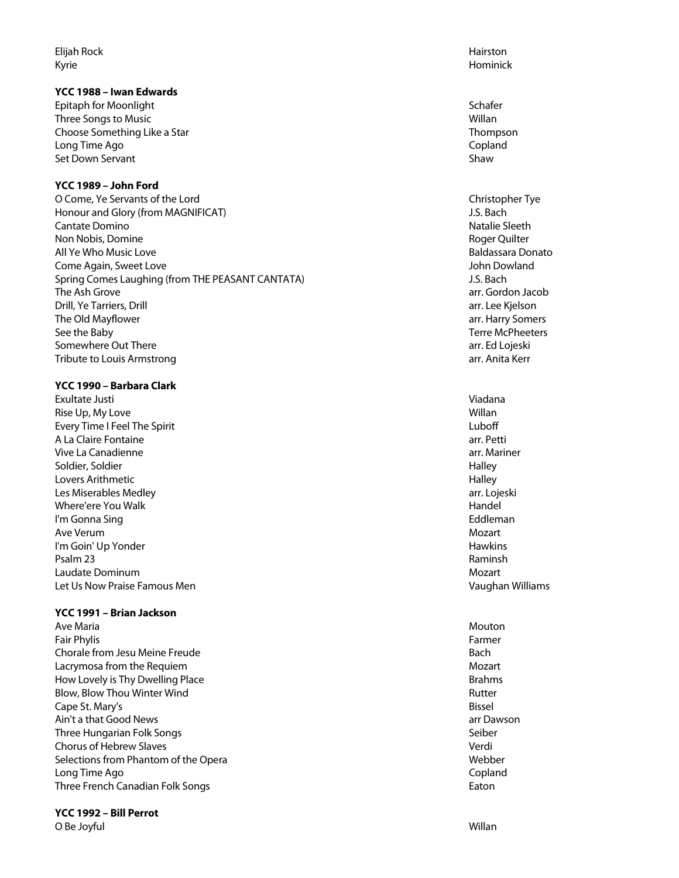Elijah Rock Hairston Kyrie Hominick

# **YCC 1988 – Iwan Edwards**

**Epitaph for Moonlight Schafer Schafer Schafer Schafer Schafer Schafer Schafer Schafer** Three Songs to Music Number of the Contract of the Contract of the Contract of the Contract of the Contract of the Contract of the Contract of the Contract of the Contract of the Contract of the Contract of the Contract of Choose Something Like a Star Thompson Long Time Ago Copland Set Down Servant Shaw

# **YCC 1989 – John Ford**

O Come, Ye Servants of the Lord Christopher Tye Christopher Tye Honour and Glory (from MAGNIFICAT) J.S. Bach Cantate Domino Natalie Sleeth Non Nobis, Domine **Roger Quilter** Roger Quilter All Ye Who Music Love Baldassara Donato **Come Again, Sweet Love Government Come Again, Sweet Love John Dowland** Spring Comes Laughing (from THE PEASANT CANTATA) Spring Comes Laughing (from THE PEASANT CANTATA) The Ash Grove arrangement of the Ash Grove arrangement of the Ash Grove arr. Gordon Jacob Drill, Ye Tarriers, Drill arr. Lee Kjelson The Old Mayflower arr. Harry Somers See the Baby Terre McPheeters and the Baby Terre McPheeters and the Baby Terre McPheeters and the Baby Terre McPheeters and the Baby Terre McPheeters and the Baby Terre McPheeters and the Baby Terre McPheeters and the Baby Somewhere Out There are arrest and the set of the set of the set of the set of the set of the set of the set of the set of the set of the set of the set of the set of the set of the set of the set of the set of the set of Tribute to Louis Armstrong and the control of the control of the control of the control of the control of the control of the control of the control of the control of the control of the control of the control of the control

# **YCC 1990 – Barbara Clark**

Exultate Justi Viadana Rise Up, My Love Willan and the Up, My Love Willan and the Up, My Love Willan and the Up, My Love Willan and the Up Every Time I Feel The Spirit Luboff A La Claire Fontaine arrangement arrangement arrangement arrangement arrangement arrangement arrangement arrangement arrangement arrangement arrangement arrangement arrangement arrangement arrangement arrangement arrangeme Vive La Canadienne arreste arreste arreste arreste arreste arreste arreste arreste arreste arreste arreste arreste arreste arreste arreste arreste arreste arreste arreste arreste arreste arreste arreste arreste arreste arr Soldier, Soldier National According to the United States of the Halley Halley Halley Halley Lovers Arithmetic **Halley Halley** Les Miserables Medley arr. Lojeski Where'ere You Walk **Handel** I'm Gonna Sing **Eddleman** Ave Verum Mozart I'm Goin' Up Yonder **Hawkins** Psalm 23 Raminsh and the control of the control of the control of the control of the control of the control of the control of the control of the control of the control of the control of the control of the control of the co **Laudate Dominum Mozart** (1999) 2008 12:30 and the set of the set of the set of the set of the set of the set of the set of the set of the set of the set of the set of the set of the set of the set of the set of the set of Let Us Now Praise Famous Men Vaughan Williams and Communications of the Vaughan Williams Vaughan Williams

## **YCC 1991 – Brian Jackson**

Ave Maria Mouton and Secret Ave Mouton and Secret Ave Mouton and Secret Ave Mouton and Mouton and Mouton and Mo Fair Phylis Farmer Chorale from Jesu Meine Freude **Bach and Charles and Chorale Bach** Bach Bach Lacrymosa from the Requiem and the Control of the Control of the Mozart Mozart Mozart How Lovely is Thy Dwelling Place and the state of the state and the state Brahms Brahms Blow, Blow Thou Winter Wind **Rutter** All and Rutter Rutter Rutter Rutter Rutter Rutter Cape St. Mary's **Bissel** Ain't a that Good News arr Dawson and the set of the set of the set of the set of the set of the set of the set of the set of the set of the set of the set of the set of the set of the set of the set of the set of the set Three Hungarian Folk Songs Seiber Seiber Seiber Seiber Seiber Seiber Seiber Seiber Seiber Seiber Seiber Seiber Chorus of Hebrew Slaves Verdi Selections from Phantom of the Opera Webber Webber Webber Webber Webber Webber Webber Webber Webber Webber Webber Webber Webber Webber Webber Webber Webber Webber Webber Webber Webber Webber Webber Webber Webber Webber Web Long Time Ago Copland Three French Canadian Folk Songs **Eaton** Eaton **Eaton** 

## **YCC 1992 – Bill Perrot**

O Be Joyful Willan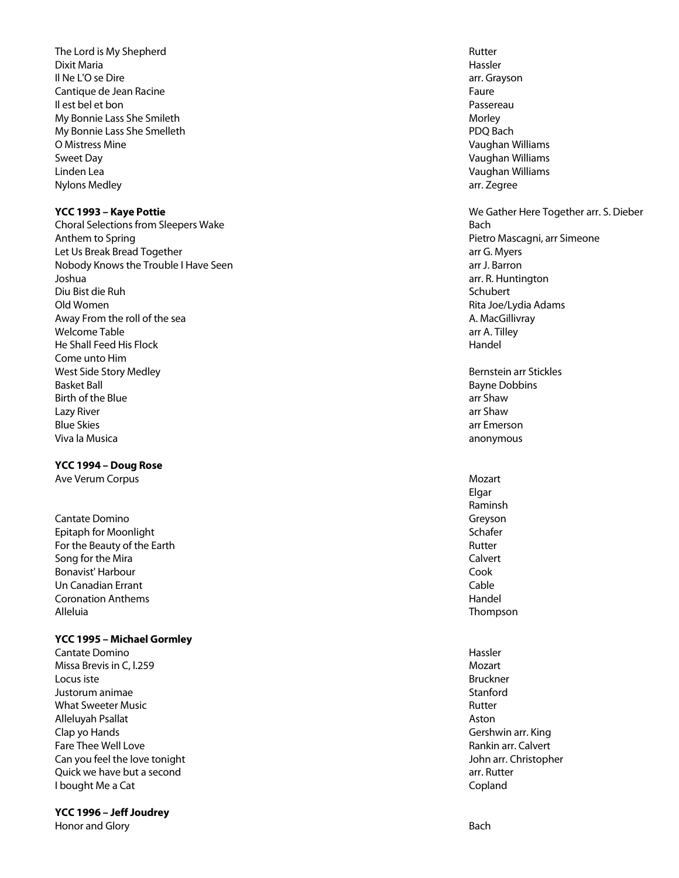The Lord is My Shepherd **Rutter** Rutter Rutter and Rutter Rutter Rutter Rutter Rutter Dixit Maria Hassler Il Ne L'O se Dire arreste de la contrattura de la contrattura de la contrattura de la contrattura de la contrattura de la contrattura de la contrattura de la contrattura de la contrattura de la contrattura de la contrattur Cantique de Jean Racine Faure Il est bel et bon Passereau My Bonnie Lass She Smileth Morley and Morley Sheets and Morley and Morley Morley Morley My Bonnie Lass She Smelleth **PDQ Bach** PDQ Bach O Mistress Mine **Vaughan Williams** Communication Communication Communication Communication Communication Communication Communication Communication Communication Communication Communication Communication Communication Commu Sweet Day Vaughan Williams and the United States of the United States of the United States of the United States of the United States of the United States of the United States of the United States of the United States of th Linden Lea Vaughan Williams Nylons Medley arr. Zegree

Choral Selections from Sleepers Wake Bach Anthem to Spring **Pietro Mascagni, arr Simeone** Let Us Break Bread Together arr G. Myers Nobody Knows the Trouble I Have Seen arr J. Barron arr J. Barron arr J. Barron Joshua arr. R. Huntington Diu Bist die Ruh Schubert von die Bist die Ruh Schubert von die Schubert von die Schubert von die Schubert von die Schubert von die Schubert von die Schubert von die Schubert von die Schubert von die Schubert von die Schub Old Women Rita Joe/Lydia Adams Away From the roll of the sea A. MacGillivray and the sea A. MacGillivray and the sea A. MacGillivray welcome Table and the state arr A. Tilley and the state arr A. Tilley He Shall Feed His Flock Handel Come unto Him West Side Story Medley **Bernstein arr Stickles** Basket Ball Basket Ball Basket Ball Basket Ball Bayne Dobbins and Bayne Dobbins and Bayne Dobbins and Bayne Dobbins and Bayne Dobbins and Bayne Dobbins and Bayne Dobbins and Bayne Dobbins and Bayne Dobbins and Bayne Dobbin Birth of the Blue arr Shaw Lazy River arr Shaw Blue Skies arr Emerson Viva la Musica anonymous

#### **YCC 1994 – Doug Rose**

Ave Verum Corpus and the Corpus Mozart Corpus Mozart Corpus Ave Verum Corpus Mozart Corpus Mozart Corpus Mozart

Cantate Domino Greyson Cantate Domino Greyson<br>
Cantate Domino Greyson Control of Cantate Control of Cantate Control of Cantate Control of Cantate Control of<br>
Cantate Control of Cantate Control of Cantate Control of Cantate Epitaph for Moonlight For the Beauty of the Earth **Rutter Rutter Rutter** Song for the Mira Calvert Communication of the Mira Calvert Calvert Calvert Calvert Calvert Calvert Calvert Calvert Bonavist' Harbour Cook Un Canadian Errant Cable Coronation Anthems **Handel** Alleluia Thompson

# **YCC 1995 – Michael Gormley**

**Cantate Domino Hassler Cantate Domino Hassler Hassler Hassler Hassler Hassler** Missa Brevis in C, 1.259 Mozart Locus iste Bruckner Justorum animae Stanford What Sweeter Music **Rutter Rutter Rutter Rutter Rutter Rutter Rutter Rutter** Alleluyah Psallat Aston Clap yo Hands Gershwin arr. King Fare Thee Well Love **Rankin arr.** Calvert Calvert Calvert Calvert Calvert Calvert Calvert Calvert Calvert Calvert Can you feel the love tonight John arr. Christopher Quick we have but a second arrival and the second arrival arrival arrival arrival arrival arrival arrival arrival arrival arrival arrival arrival arrival arrival arrival arrival arrival arrival arrival arrival arrival arri **I** bought Me a Cat Copland Copland Copland Copland Copland Copland Copland Copland Copland Copland Copland Copland Copland Copland Copland Copland Copland Copland Copland Copland Copland Copland Copland Copland Copland Co

# **YCC 1996 – Jeff Joudrey**

Honor and Glory Bach and Superior Bach and Superior Superior Superior Bach and Superior Bach and Superior Bach

**YCC 1993 – Kaye Pottie** We Gather Here Together arr. S. Dieber Elgar Raminsh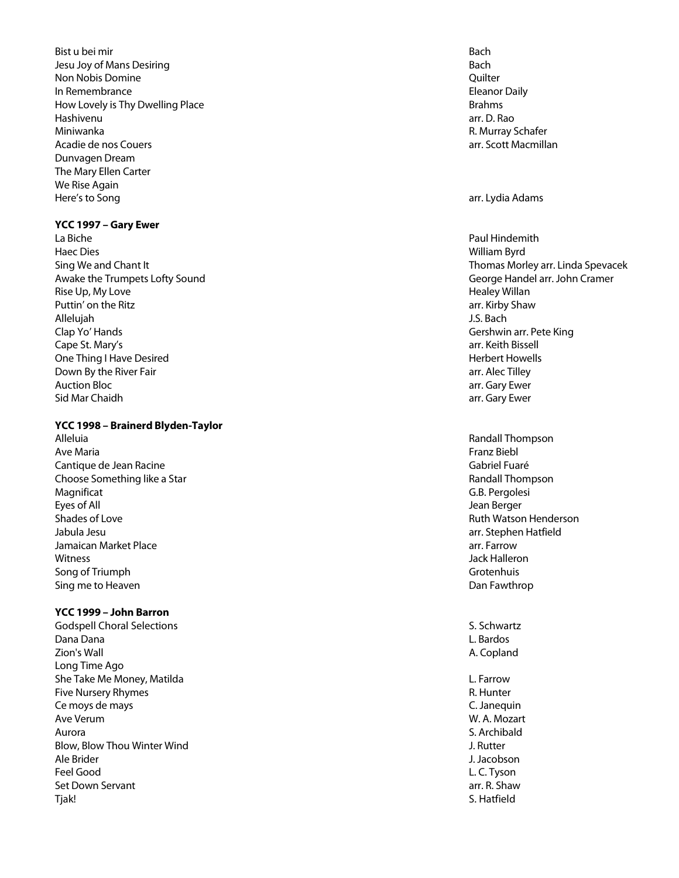**Bist u bei mir Bach in Bach in Bach in Bach in Bach in Bach in Bach in Bach in Bach in Bach in Bach in Bach i** Jesu Joy of Mans Desiring Bach Non Nobis Domine Quilter In Remembrance **Eleanor Daily In Remembrance Eleanor Daily Eleanor Daily Eleanor Daily** How Lovely is Thy Dwelling Place and the state of the state Brahms and the Brahms of the Brahms and the Brahms Hashivenu arr. D. Rao Miniwanka R. Murray Schafer Acadie de nos Couers and The north and The north arrangement of the north arr. Scott Macmillan Dunvagen Dream The Mary Ellen Carter We Rise Again Here's to Song arr. Lydia Adams

## **YCC 1997 – Gary Ewer**

La Biche Paul Hindemith Haec Dies William Byrd Awake the Trumpets Lofty Sound George Handel arr. John Cramer Rise Up, My Love **Healey Willan** Puttin' on the Ritz arrangement of the Ritz arrangement of the Ritz arr. Kirby Shaw Allelujah J.S. Bach Clap Yo' Hands Gershwin arr. Pete King Cape St. Mary's **Arrival Cape St. Mary's** arr. Keith Bissell One Thing I Have Desired **Herbert Howells Contract Contract Contract Contract Contract Contract Contract Contract Contract Contract Contract Contract Contract Contract Contract Contract Contract Contract Contract Contrac** Down By the River Fair and the Community of the River Fair arr. Alec Tilley Auction Bloc **arrival array Ewer** and The Control of the Control of the Control of the Control of the Control of the Control of the Control of the Control of the Control of the Control of the Control of the Control of the Sid Mar Chaidh arr. Gary Ewer

## **YCC 1998 – Brainerd Blyden -Taylor**

Alleluia Randall Thompson Ave Maria Franz Biebl Cantique de Jean Racine Gabriel Fuaré Choose Something like a Star **Randall Thompson Choose Something like a Star** Randall Thompson Magnificat G.B. Pergolesi Eyes of All Jean Berger Shades of Love **Shades of Love** Ruth Watson Henderson **Shades of Love Ruth Watson Henderson**<br>Ruth Watson Henderson Ruth Watson Henderson **Ruth Watson Henderson** Jamaican Market Place arr. Farrow Witness Jack Halleron Song of Triumph Grotenhuis Sing me to Heaven **Dan Fawthrop Sing me to Heaven**  $\Box$ 

# **YCC 1999 – John Barron**

Godspell Choral Selections Supervisors S. Schwartz S. Schwartz Dana Dana L. Bardos Zion's Wall A. Copland Long Time Ago She Take Me Money, Matilda L. Farrow Controller and the U. Farrow C. Farrow L. Farrow Five Nursery Rhymes **R. Hunter** R. Hunter Ce moys de mays C. Janequin Ave Verum W. A. Mozart Aurora S. Archibald Blow, Blow Thou Winter Wind J. Rutter Ale Brider J. Jacobson Feel Good L. C. Tyson Set Down Servant arrangement arrangement arrangement arrangement arrangement arrangement arrangement arrangement arrangement arrangement arrangement arrangement arrangement arrangement arrangement arrangement arrangement a Tjak! S. Hatfield

Sing We and Chant It Thomas Morley arr. Linda Spevacek

arr. Stephen Hatfield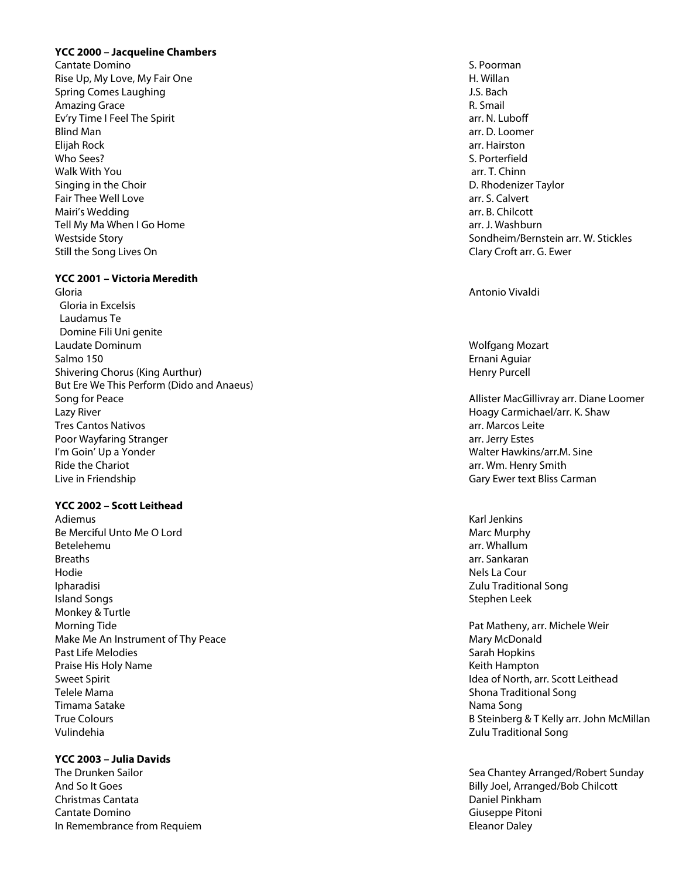## **YCC 2000 – Jacqueline Chambers**

Cantate Domino S. Poorman S. Poorman S. Poorman S. Poorman S. Poorman S. Poorman S. Poorman S. Poorman S. Poorman S. Poorman S. Poorman S. Poorman S. Poorman S. Poorman S. Poorman S. Poorman S. Poorman S. Poorman S. Poorma Rise Up, My Love, My Fair One Here Have Have Hotels and H. Willan Spring Comes Laughing and the set of the set of the set of the set of the set of the set of the set of the set of the set of the set of the set of the set of the set of the set of the set of the set of the set of the set o Amazing Grace **R. Smail** Ev'ry Time I Feel The Spirit arr. N. Luboff and the Spirit arr. N. Luboff arr. N. Luboff arr. N. Luboff arr. N. Luboff Blind Man arr. D. Loomer Elijah Rock arr. Hairston who Sees? S. Porterfield Walk With You arrived the control of the control of the control of the control of the control of the control of the control of the control of the control of the control of the control of the control of the control of the c Singing in the Choir **D. Rhodenizer Taylor** D. Rhodenizer Taylor Fair Thee Well Love and the state are seen as a state of the state arr. S. Calvert Mairi's Wedding Tell My Ma When I Go Home arr. J. Washburn and the Unit of the Telecommunity of the Telecommunity of the Telecommunity of the Telecommunity of the Telecommunity of the Unit of the Telecommunity of the Telecommunity of the Still the Song Lives On Clary Croft arr. G. Ewer

#### **YCC 2001 – Victoria Meredith**

Gloria Antonio Vivaldi Gloria in Excelsis Laudamus Te Domine Fili Uni genite Laudate Dominum Wolfgang Mozart Salmo 150 Ernani Aguiar Shivering Chorus (King Aurthur) **Henry Purcell** Shivering Chorus (King Aurthur) **Henry Purcell** But Ere We This Perform (Dido and Anaeus) Song for Peace **Allister MacGillivray arr. Diane Loomer** Allister MacGillivray arr. Diane Loomer Lazy River Hoagy Carmichael/arr. K. Shaw Tres Cantos Nativos arr. Marcos Leite Poor Wayfaring Stranger arranger arranger arrangement of the stranger arrangement of the stranger arrangement of the stranger arrangement of the stranger arrangement of the strange of the stranger arrangement of the strang I'm Goin' Up a Yonder Walter Hawkins/arr.M. Sine Ride the Chariot arrest arrest arrest arrest arrest arrest arrest arrest arrest arr. Wm. Henry Smith Live in Friendship Gary Ewer text Bliss Carman

**YCC 2002 – Scott Leithead**

Adiemus Karl Jenkins Karl Jenkins Karl Jenkins Karl Jenkins Karl Jenkins Karl Jenkins Karl Jenkins K Be Merciful Unto Me O Lord National Marc Murphy (National Marc Murphy Marc Murphy Marc Murphy Marc Murphy Marc Murphy Betelehemu arr. Whallum Breaths arr. Sankaran Hodie Nels La Cour Ipharadisi Zulu Traditional Song **Island Songs** Stephen Leek Monkey & Turtle Morning Tide **Pat Matheny, arr. Michele Weir** Pat Matheny, arr. Michele Weir Make Me An Instrument of Thy Peac Past Life Melodies **Sarah Hopkins** Sarah Hopkins Sarah Hopkins Sarah Hopkins Sarah Hopkins Sarah Hopkins Sarah Hopkins Praise His Holy Name Keith Hampton Sweet Spirit Idea of North, arr. Scott Leithead Telele Mama Shona Traditional Song in the Shona Traditional Song in the Shona Traditional Song Timama Satake Nama Song Vulindehia Zulu Traditional Song

**YCC 2003 – Julia Davids**

Christmas Cantata Daniel Pinkham Cantate Domino Giuseppe Pitoni In Remembrance from Requiem

arr. B. Chilcott Westside Story **Sondheim/Bernstein arr. W. Stickles** 

Mary McDonald True Colours B Steinberg & T Kelly arr. John McMillan

The Drunken Sailor Sea Chantey Arranged/Robert Sunday And So It Goes **Billy Joel**, Arranged/Bob Chilcott Eleanor Daley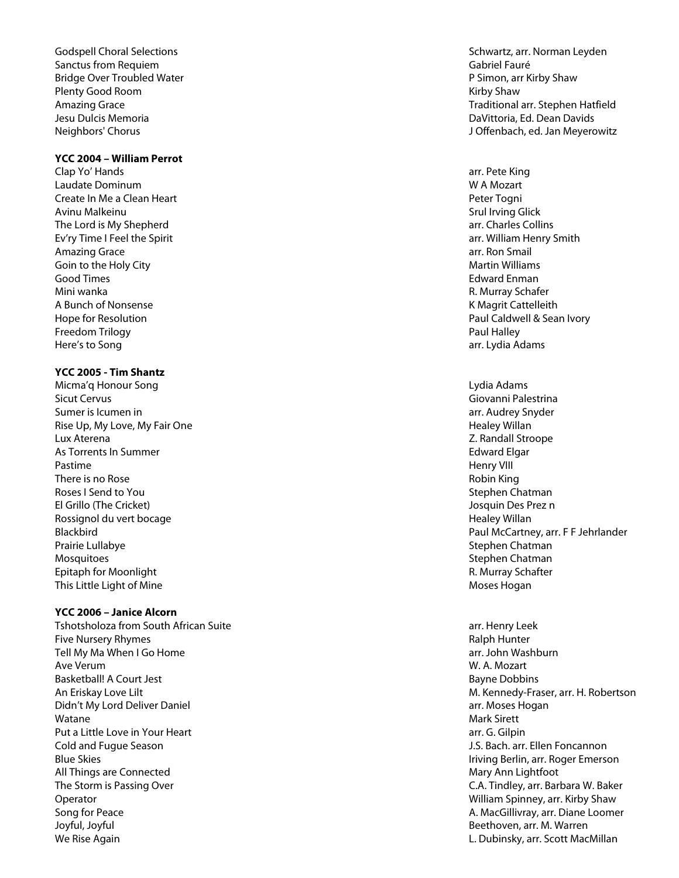Sanctus from Requiem Gabriel Fauré et al. (2008) Sanctus Fauré de La Gabriel Fauré de La Gabriel Fauré de La G Bridge Over Troubled Water **P** Simon, arr Kirby Shaw Plenty Good Room **Kirby Shaw** Jesu Dulcis Memoria DaVittoria, Ed. Dean Davids

## **YCC 2004 – William Perrot**

Clap Yo' Hands arr. Pete King Laudate Dominum W A Mozart Create In Me a Clean Heart Peter Togni Avinu Malkeinu Srul Irving Glick and The Terms of the Srul Irving Glick and The Srul Irving Glick The Lord is My Shepherd arr. Charles Collins and the Lord is My Shepherd arr. Charles Collins Ev'ry Time I Feel the Spirit arrangement of the Spirit arrangement of the Spirit arr. William Henry Smith Amazing Grace arr. Ron Smail and School and School and School and School and School and School and School and School and School and School and School and School and School and School and School and School and School and Sc Goin to the Holy City **Martin Williams** Company of the Martin Williams of the Martin Williams of the Martin Williams Good Times **Edward Enmanuel Community** Community Community Community Community Community Community Community Community Community Community Community Community Community Community Community Community Community Community Com Mini wanka R. Murray Schafer New York 1989, New York 1989, New York 1989, New York 1989, New York 1989, New York 1989, New York 1989, New York 1989, New York 1989, New York 1989, New York 1989, New York 1989, New York 1989 A Bunch of Nonsense **K** Magrit Cattelleith Freedom Trilogy **Paul Halley** Paul Halley **Paul Halley** Here's to Song arr. Lydia Adams

## **YCC 2005 - Tim Shantz**

Micma'q Honour Song Sicut Cervus Giovanni Palestrina Sumer is Icumen in and the state of the state of the state of the state of the state of the state of the state of the state of the state of the state of the state of the state of the state of the state of the state of the Rise Up, My Love, My Fair One Healey Willan and My Love of Allen Healey Willan and Healey Willan Lux Aterena Z. Randall Stroope As Torrents In Summer **As Tomagnum** Edward Elgar Pastime Henry VIII There is no Rose **Robin King** and the *There is* no Robin King and the *Robin King* and the *Robin King* and the *Robin King* and the *Robin King* and the *Robin King* and the *Robin King* and the *Robin King* and the *Rob* Roses I Send to You Stephen Chatman Chatman Chatman Chatman Stephen Chatman Stephen Chatman Stephen Chatman Stephen Chatman Stephen Chatman Stephen Chatman Stephen Chatman Stephen Stephen Stephen Stephen Stephen Stephen St El Grillo (The Cricket) Josquin Des Prez n Rossignol du vert bocage New York and the University of the Healey Willan New York and the Healey Willan New York and the Healey Willan Prairie Lullabye **Stephen Chatman** Mosquitoes and Stephen Chatman Chatman Chatman Chatman Chatman Chatman Chatman Chatman Chatman Chatman Chatman Epitaph for Moonlight **Exercise 2018** Control of R. Murray Schafter This Little Light of Mine **Moses Hogan** Moses Hogan Moses Hogan

# **YCC 2006 – Janice Alcorn**

Tshotsholoza from South African Suite arr. Henry Leek Five Nursery Rhymes **Ralph Hunter** Ralph Hunter **Ralph Hunter** Tell My Ma When I Go Home arr and the state of the state of the state of the state of the state of the state of the state of the state of the state of the state of the state of the state of the state of the state of the st Ave Verum W. A. Mozart Basketball! A Court Jest Bayne Dobbins An Eriskay Love Lilt Didn't My Lord Deliver Daniel and Deliver Daniel and Discovery arr. Moses Hogan Watane Mark Sirett (1999) and the set of the set of the set of the set of the set of the set of the set of the set of the set of the set of the set of the set of the set of the set of the set of the set of the set of the s Put a Little Love in Your Heart and The Communication of the Communication of the Communication of the Communication of the Communication of the Communication of the Communication of the Communication of the Communication Cold and Fugue Season J.S. Bach. arr. Ellen Foncannon Blue Skies Iriving Berlin, arr. Roger Emerson All Things are Connected Mary Ann Lightfoot All Things are Connected Mary Ann Lightfoot The Storm is Passing Over C.A. Tindley, arr. Barbara W. Baker Operator William Spinney, arr. Kirby Shaw Song for Peace **A. MacGillivray, arr. Diane Loomer** A. MacGillivray, arr. Diane Loomer Joyful, Joyful Beethoven, arr. M. Warren We Rise Again **L. Dubinsky, arr. Scott MacMillan** 

Godspell Choral Selections Schwartz, arr. Norman Leyden Amazing Grace **Traditional arr. Stephen Hatfield** School and Traditional arr. Stephen Hatfield Neighbors' Chorus J Offenbach, ed. Jan Meyerowitz

Hope for Resolution Paul Caldwell & Sean Ivory

Lydia Adams Blackbird Paul McCartney, arr. F F Jehrlander

M. Kennedy-Fraser, arr. H. Robertson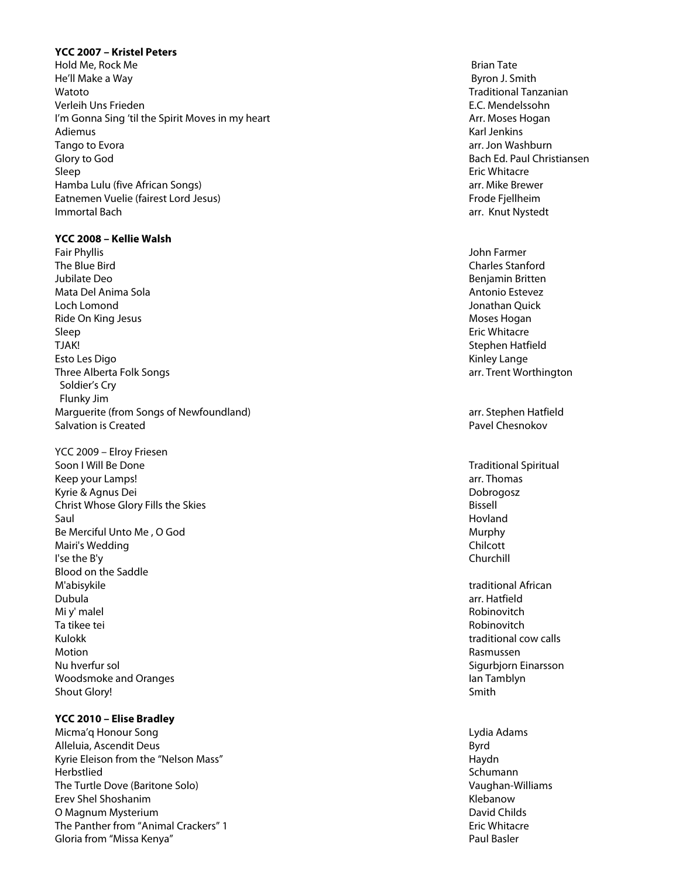#### **YCC 2007 – Kristel Peters**

Hold Me, Rock Me Brian Tate He'll Make a Way Byron J. Smith Watoto Traditional Tanzanian Verleih Uns Frieden E.C. Mendelssohn I'm Gonna Sing 'til the Spirit Moves in my heart Arrest Arrest Arrest Arr. Moses Hogan Adiemus Karl Jenkins Karl Jenkins (1999), and the control of the control of the control of the control of the control of the control of the control of the control of the control of the control of the control of the control Tango to Evora Glory to God Bach Ed. Paul Christiansen Sleep Eric Whitacre Hamba Lulu (five African Songs) arr. Mike Brewer Eatnemen Vuelie (fairest Lord Jesus) Frode Fjellheim **Immortal Bach** arr. Knut Nystedt arrest arrest arrest arrest arrest arrest arrest arrest arrest arrest arrest arrest arrest arrest arrest arrest arrest arrest arrest arrest arrest arrest arrest arrest arrest arrest arrest

#### **YCC 2008 – Kellie Walsh**

- Fair Phyllis John Farmer The Blue Bird Charles Stanford Jubilate Deo Benjamin Britten Mata Del Anima Sola Antonio Estevez Loch Lomond Jonathan Quick Ride On King Jesus Moses Hogan Museum and the United States of the United States of the Moses Hogan Moses Hogan Sleep Eric Whitacre TJAK! Stephen Hatfield Esto Les Digo Novembre 1999 a la contrata de la contrata de la contrata de la contrata de la contrata de la contrata de la contrata de la contrata de la contrata de la contrata de la contrata de la contrata de la contrata Three Alberta Folk Songs Soldier's Cry Flunky Jim Marguerite (from Songs of Newfoundland) Salvation is Created Pavel Chesnokov
- YCC 2009 Elroy Friesen Soon I Will Be Done Traditional Spiritual Spiritual Spiritual Spiritual Spiritual Spiritual Spiritual Spiritual Keep your Lamps! A same state of the state of the state of the state of the state of the state of the state of the state of the state of the state of the state of the state of the state of the state of the state of the sta Kyrie & Agnus Dei Dobrogosz Christ Whose Glory Fills the Skies Bissell Saul Hovland (1999) and the state of the state of the state of the state of the state of the state of the state of the state of the state of the state of the state of the state of the state of the state of the state of the Be Merciful Unto Me , O God Murphy Number of The Murphy Number of The Murphy Number of The Murphy Number of The Murphy Mairi's Wedding **Chilcott** Chilcott **Chilcott** Chilcott Chilcott Chilcott Chilcott Chilcott Chilcott Chilcott Chilcott Chilcott Chilcott Chilcott Chilcott Chilcott Chilcott Chilcott Chilcott Chilcott Chilcott Chilcott Chil I'se the B'y Churchill Blood on the Saddle M'abisykile traditional African Dubula arr. Hatfield Mi y' malel Robinovitch Ta tikee tei Robinovitch Kulokk **the community of the community of the community of the community of the community of the community of the community of the community of the community of the community of the community of the community of the commun** Motion Rasmussen Nu hverfur sol Sigurbjorn Einarsson Woodsmoke and Oranges **Ian Tamblyn** Ian Tamblyn Shout Glory! Smith

#### **YCC 2010 – Elise Bradley**

Micma'q Honour Song Lydia Adams and the Unit of the Unit of the Unit of the Unit of the Unit of the Unit of the Unit of the Unit of the Unit of the Unit of the Unit of the Unit of the Unit of the Unit of the Unit of the Un Alleluia, Ascendit Deus Byrd Kyrie Eleison from the "Nelson Mass" National Communication of the Haydness Haydness (Haydness Haydness Haydness Haydness Haydness Haydness Haydness Haydness Haydness Haydness Haydness Haydness Haydness Haydness Haydness H Herbstlied Schumann The Turtle Dove (Baritone Solo) Erev Shel Shoshanim North Communication and the Communication of the Communication of the Communication of the Communication of the Communication of the Communication of the Communication of the Communication of the Commun O Magnum Mysterium **David Childs** Childs and Childs Childs Childs Childs Childs Childs Childs Childs Childs Childs Childs Childs Childs Childs Childs Childs Childs Childs Childs Childs Childs Childs Childs Childs Childs Ch The Panther from "Animal Crackers" 1 Eric Whitacre Gloria from "Missa Kenya" Paul Basler

arr. Jon Washburn

arr. Trent Worthington

arr. Stephen Hatfield

Vaughan-Williams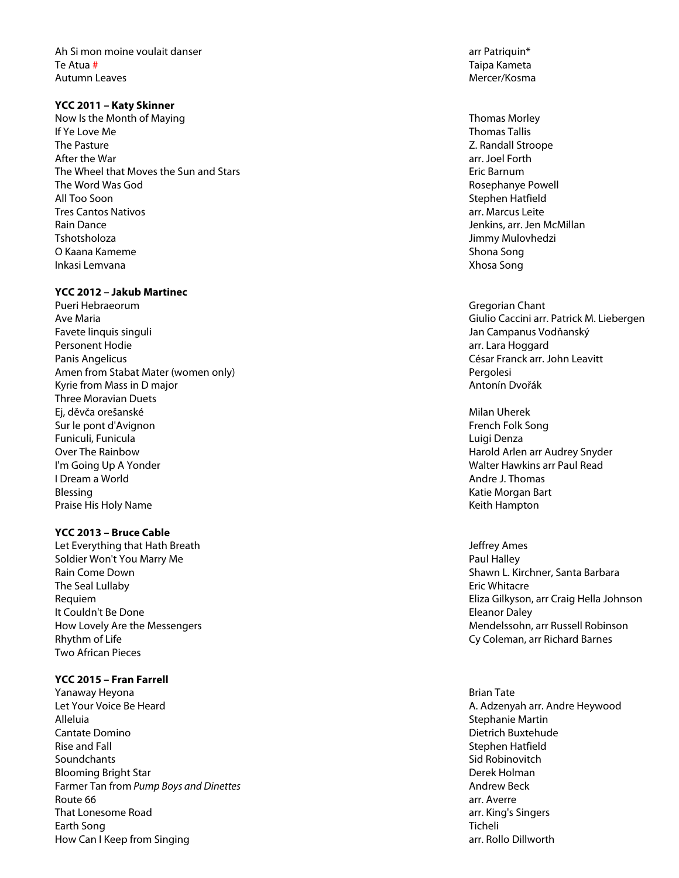Ah Si mon moine voulait danser arr Patriquin\* arr Patriquin\* Te Atua Autumn Leaves and the control of the control of the control of the control of the control of the control of the control of the control of the control of the control of the control of the control of the control of the contr

## **YCC 2011 – Katy Skinner**

Now Is the Month of Maying Thomas Morley Thomas Morley If Ye Love Me Thomas Tallis and the Thomas Tallis and the Thomas Tallis and the Thomas Tallis and the Thomas Tallis The Pasture **The Pasture 2. Randall Stroope Z. Randall Stroope Z. Randall Stroope** After the War The Wheel that Moves the Sun and Stars **Example 2018** 2019 12:30 Eric Barnum The Word Was God **Rosephanye Powell** All Too Soon Stephen Hatfield Tres Cantos Nativos arr. Marcus Leite Rain Dance **National According to the Contract of Contract Contract of Contract Contract Contract Oriental According to the McMillan** Tshotsholoza Jimmy Mulovhedzi O Kaana Kameme Shona Song Shona Song Shona Song Shona Song Shona Song Shona Song Shona Song Shona Song Shona Song Inkasi Lemvana Xhosa Song

## **YCC 2012 – Jakub Martinec**

Pueri Hebraeorum Gregorian Chant Ave Maria Giulio Caccini arr. Patrick M. Liebergen Favete linquis singuli Jan Campanus Vodňanský Personent Hodie arrest arrest arrest arrest arrest arrest arrest arrest arrest arrest arrest arrest arrest arr Panis Angelicus César Franck arr . John Leavitt Amen from Stabat Mater (women only Kyrie from Mass in D major Antonín Dvořák Antonín Dvořák Antonín Dvořák Antonín Dvořák Antonín Dvořák Antonín Dvořák Three Moravian Duets Ej, děvča orešanské konstantine († 18. listopadu – † 18. listopadu – † 18. listopadu – † 18. listopadu – † 18. listopadu – † 18. listopadu – † 18. listopadu – † 18. listopadu – † 18. listopadu – † 18. listopadu – † 18. lis Sur le pont d'Avignon French Folk Song (French Folk Song French Folk Song French Folk Song French Folk Song F Funiculi, Funicula Luigi Denza Over The Rainbow Harold Arlen arr Audrey Snyder I'm Going Up A Yonder Walter Hawkins arr Paul Read I Dream a World Andre J. Thomas Blessing National Bart Communication and the Blessing Katie Morgan Bart Communication and the Morgan Bart Communication and the Morgan Bart Communication and the Morgan Bart Communication and the Morgan Bart Communication Praise His Holy Name Keith Hampton

# **YCC 2013 – Bruce Cable**

Let Everything that Hath Breath Jeffrey Ames Soldier Won't You Marry Me **Paul Halley** Soldier Won't You Marry Me Rain Come Down **Shawn L. Kirchner, Santa Barbara** The Seal Lullaby It Couldn't Be Done **Eleanor Daley It Couldn't Be Done** How Lovely Are the Messengers Rhythm of Life Two African Pieces

# **YCC 2015 – Fran Farrell**

Yanaway Heyona **Brian Tate** Let Your Voice Be Heard A. Adzenyah arr. Andre Heywood Alleluia Stephanie Martin Cantate Domino **Dietrich Buxtehude** Cantate Domino **Dietrich Buxtehude** Cantate Domino **Dietrich Buxtehude** Rise and Fall Stephen Hatfield Stephen Hatfield Soundchants Soundchants Sid Robinovitch **Sid Robinovitch** Sid Robinovitch **Sid Robinovitch** Blooming Bright Star **Derek Holman** Bright Star Derek Holman Bright Star Derek Holman Farmer Tan from *Pump Boys and Dinettes* Andrew Beck Route 66 arr. Averre That Lonesome Road arr. King's Singers Earth Song Ticheli How Can I Keep from Singing arr. Rollo Dillworth arr. Rollo Dillworth

Taipa Kameta

arr. Joel Forth

**Pergolesi** 

Eric Whitacre Requiem Eliza Gilkyson, arr Craig Hella Johnson Mendelssohn, arr Russell Robinson Cy Coleman, arr Richard Barnes